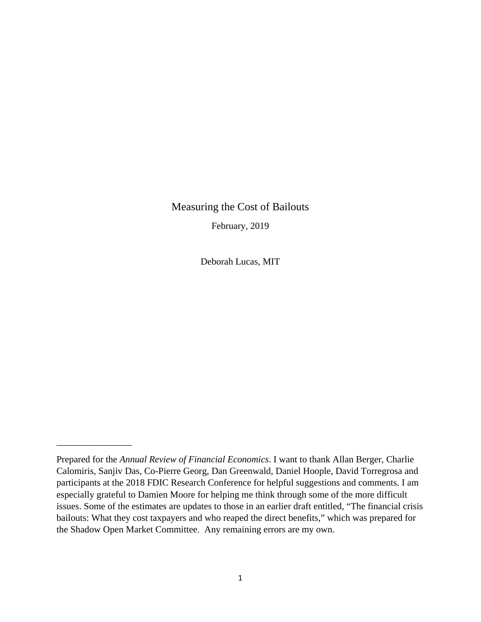## Measuring the Cost of Bailouts

February, 2019

Deborah Lucas, MIT

\_\_\_\_\_\_\_\_\_\_\_\_\_\_\_\_

Prepared for the *Annual Review of Financial Economics*. I want to thank Allan Berger, Charlie Calomiris, Sanjiv Das, Co-Pierre Georg, Dan Greenwald, Daniel Hoople, David Torregrosa and participants at the 2018 FDIC Research Conference for helpful suggestions and comments. I am especially grateful to Damien Moore for helping me think through some of the more difficult issues. Some of the estimates are updates to those in an earlier draft entitled, "The financial crisis bailouts: What they cost taxpayers and who reaped the direct benefits," which was prepared for the Shadow Open Market Committee. Any remaining errors are my own.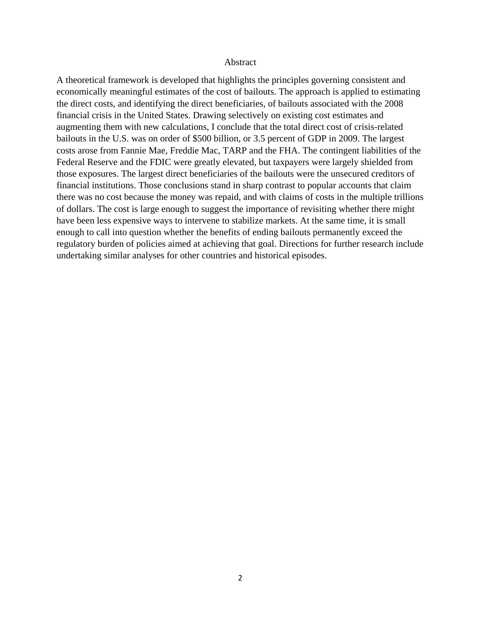#### Abstract

A theoretical framework is developed that highlights the principles governing consistent and economically meaningful estimates of the cost of bailouts. The approach is applied to estimating the direct costs, and identifying the direct beneficiaries, of bailouts associated with the 2008 financial crisis in the United States. Drawing selectively on existing cost estimates and augmenting them with new calculations, I conclude that the total direct cost of crisis-related bailouts in the U.S. was on order of \$500 billion, or 3.5 percent of GDP in 2009. The largest costs arose from Fannie Mae, Freddie Mac, TARP and the FHA. The contingent liabilities of the Federal Reserve and the FDIC were greatly elevated, but taxpayers were largely shielded from those exposures. The largest direct beneficiaries of the bailouts were the unsecured creditors of financial institutions. Those conclusions stand in sharp contrast to popular accounts that claim there was no cost because the money was repaid, and with claims of costs in the multiple trillions of dollars. The cost is large enough to suggest the importance of revisiting whether there might have been less expensive ways to intervene to stabilize markets. At the same time, it is small enough to call into question whether the benefits of ending bailouts permanently exceed the regulatory burden of policies aimed at achieving that goal. Directions for further research include undertaking similar analyses for other countries and historical episodes.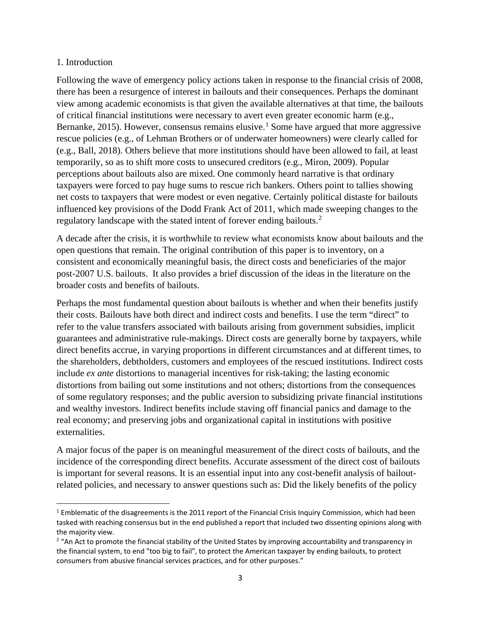#### 1. Introduction

Following the wave of emergency policy actions taken in response to the financial crisis of 2008, there has been a resurgence of interest in bailouts and their consequences. Perhaps the dominant view among academic economists is that given the available alternatives at that time, the bailouts of critical financial institutions were necessary to avert even greater economic harm (e.g., Bernanke, 20[1](#page-2-0)5). However, consensus remains elusive.<sup>1</sup> Some have argued that more aggressive rescue policies (e.g., of Lehman Brothers or of underwater homeowners) were clearly called for (e.g., Ball, 2018). Others believe that more institutions should have been allowed to fail, at least temporarily, so as to shift more costs to unsecured creditors (e.g., Miron, 2009). Popular perceptions about bailouts also are mixed. One commonly heard narrative is that ordinary taxpayers were forced to pay huge sums to rescue rich bankers. Others point to tallies showing net costs to taxpayers that were modest or even negative. Certainly political distaste for bailouts influenced key provisions of the Dodd Frank Act of 2011, which made sweeping changes to the regulatory landscape with the stated intent of forever ending bailouts.<sup>[2](#page-2-1)</sup>

A decade after the crisis, it is worthwhile to review what economists know about bailouts and the open questions that remain. The original contribution of this paper is to inventory, on a consistent and economically meaningful basis, the direct costs and beneficiaries of the major post-2007 U.S. bailouts. It also provides a brief discussion of the ideas in the literature on the broader costs and benefits of bailouts.

Perhaps the most fundamental question about bailouts is whether and when their benefits justify their costs. Bailouts have both direct and indirect costs and benefits. I use the term "direct" to refer to the value transfers associated with bailouts arising from government subsidies, implicit guarantees and administrative rule-makings. Direct costs are generally borne by taxpayers, while direct benefits accrue, in varying proportions in different circumstances and at different times, to the shareholders, debtholders, customers and employees of the rescued institutions. Indirect costs include *ex ante* distortions to managerial incentives for risk-taking; the lasting economic distortions from bailing out some institutions and not others; distortions from the consequences of some regulatory responses; and the public aversion to subsidizing private financial institutions and wealthy investors. Indirect benefits include staving off financial panics and damage to the real economy; and preserving jobs and organizational capital in institutions with positive externalities.

A major focus of the paper is on meaningful measurement of the direct costs of bailouts, and the incidence of the corresponding direct benefits. Accurate assessment of the direct cost of bailouts is important for several reasons. It is an essential input into any cost-benefit analysis of bailoutrelated policies, and necessary to answer questions such as: Did the likely benefits of the policy

<span id="page-2-0"></span> $1$  Emblematic of the disagreements is the 2011 report of the Financial Crisis Inquiry Commission, which had been tasked with reaching consensus but in the end published a report that included two dissenting opinions along with the majority view.

<span id="page-2-1"></span><sup>&</sup>lt;sup>2</sup> "An Act to promote the financial stability of the United States by improving accountability and transparency in the financial system, to end "too big to fail", to protect the American taxpayer by ending bailouts, to protect consumers from abusive financial services practices, and for other purposes."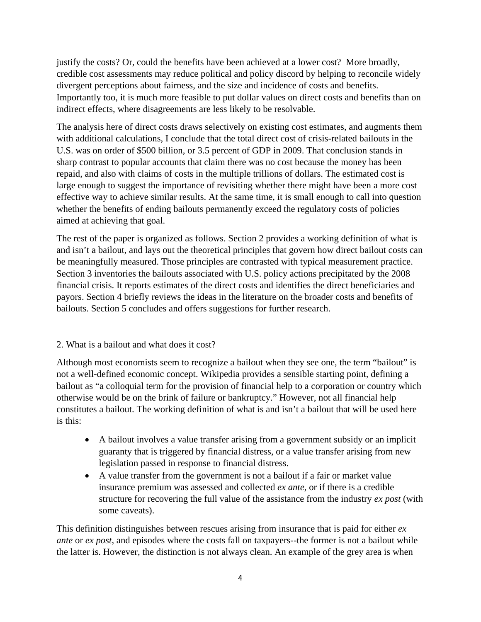justify the costs? Or, could the benefits have been achieved at a lower cost? More broadly, credible cost assessments may reduce political and policy discord by helping to reconcile widely divergent perceptions about fairness, and the size and incidence of costs and benefits. Importantly too, it is much more feasible to put dollar values on direct costs and benefits than on indirect effects, where disagreements are less likely to be resolvable.

The analysis here of direct costs draws selectively on existing cost estimates, and augments them with additional calculations, I conclude that the total direct cost of crisis-related bailouts in the U.S. was on order of \$500 billion, or 3.5 percent of GDP in 2009. That conclusion stands in sharp contrast to popular accounts that claim there was no cost because the money has been repaid, and also with claims of costs in the multiple trillions of dollars. The estimated cost is large enough to suggest the importance of revisiting whether there might have been a more cost effective way to achieve similar results. At the same time, it is small enough to call into question whether the benefits of ending bailouts permanently exceed the regulatory costs of policies aimed at achieving that goal.

The rest of the paper is organized as follows. Section 2 provides a working definition of what is and isn't a bailout, and lays out the theoretical principles that govern how direct bailout costs can be meaningfully measured. Those principles are contrasted with typical measurement practice. Section 3 inventories the bailouts associated with U.S. policy actions precipitated by the 2008 financial crisis. It reports estimates of the direct costs and identifies the direct beneficiaries and payors. Section 4 briefly reviews the ideas in the literature on the broader costs and benefits of bailouts. Section 5 concludes and offers suggestions for further research.

## 2. What is a bailout and what does it cost?

Although most economists seem to recognize a bailout when they see one, the term "bailout" is not a well-defined economic concept. Wikipedia provides a sensible starting point, defining a bailout as "a colloquial term for the provision of financial help to a corporation or country which otherwise would be on the brink of failure or bankruptcy." However, not all financial help constitutes a bailout. The working definition of what is and isn't a bailout that will be used here is this:

- A bailout involves a value transfer arising from a government subsidy or an implicit guaranty that is triggered by financial distress, or a value transfer arising from new legislation passed in response to financial distress.
- A value transfer from the government is not a bailout if a fair or market value insurance premium was assessed and collected *ex ante*, or if there is a credible structure for recovering the full value of the assistance from the industry *ex post* (with some caveats).

This definition distinguishes between rescues arising from insurance that is paid for either *ex ante* or *ex post*, and episodes where the costs fall on taxpayers--the former is not a bailout while the latter is. However, the distinction is not always clean. An example of the grey area is when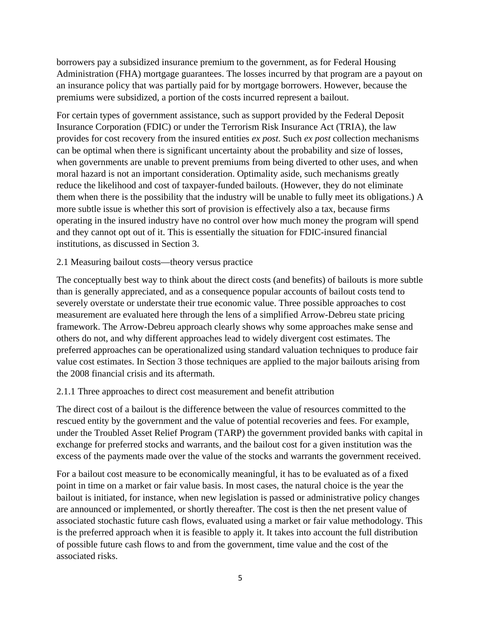borrowers pay a subsidized insurance premium to the government, as for Federal Housing Administration (FHA) mortgage guarantees. The losses incurred by that program are a payout on an insurance policy that was partially paid for by mortgage borrowers. However, because the premiums were subsidized, a portion of the costs incurred represent a bailout.

For certain types of government assistance, such as support provided by the Federal Deposit Insurance Corporation (FDIC) or under the Terrorism Risk Insurance Act (TRIA), the law provides for cost recovery from the insured entities *ex post*. Such *ex post* collection mechanisms can be optimal when there is significant uncertainty about the probability and size of losses, when governments are unable to prevent premiums from being diverted to other uses, and when moral hazard is not an important consideration. Optimality aside, such mechanisms greatly reduce the likelihood and cost of taxpayer-funded bailouts. (However, they do not eliminate them when there is the possibility that the industry will be unable to fully meet its obligations.) A more subtle issue is whether this sort of provision is effectively also a tax, because firms operating in the insured industry have no control over how much money the program will spend and they cannot opt out of it. This is essentially the situation for FDIC-insured financial institutions, as discussed in Section 3.

#### 2.1 Measuring bailout costs—theory versus practice

The conceptually best way to think about the direct costs (and benefits) of bailouts is more subtle than is generally appreciated, and as a consequence popular accounts of bailout costs tend to severely overstate or understate their true economic value. Three possible approaches to cost measurement are evaluated here through the lens of a simplified Arrow-Debreu state pricing framework. The Arrow-Debreu approach clearly shows why some approaches make sense and others do not, and why different approaches lead to widely divergent cost estimates. The preferred approaches can be operationalized using standard valuation techniques to produce fair value cost estimates. In Section 3 those techniques are applied to the major bailouts arising from the 2008 financial crisis and its aftermath.

## 2.1.1 Three approaches to direct cost measurement and benefit attribution

The direct cost of a bailout is the difference between the value of resources committed to the rescued entity by the government and the value of potential recoveries and fees. For example, under the Troubled Asset Relief Program (TARP) the government provided banks with capital in exchange for preferred stocks and warrants, and the bailout cost for a given institution was the excess of the payments made over the value of the stocks and warrants the government received.

For a bailout cost measure to be economically meaningful, it has to be evaluated as of a fixed point in time on a market or fair value basis. In most cases, the natural choice is the year the bailout is initiated, for instance, when new legislation is passed or administrative policy changes are announced or implemented, or shortly thereafter. The cost is then the net present value of associated stochastic future cash flows, evaluated using a market or fair value methodology. This is the preferred approach when it is feasible to apply it. It takes into account the full distribution of possible future cash flows to and from the government, time value and the cost of the associated risks.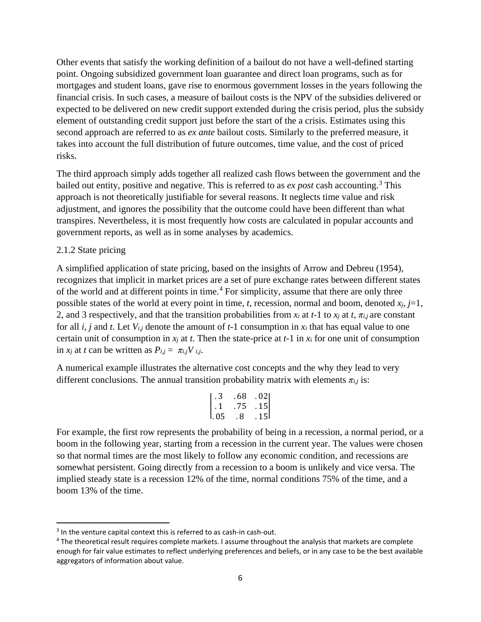Other events that satisfy the working definition of a bailout do not have a well-defined starting point. Ongoing subsidized government loan guarantee and direct loan programs, such as for mortgages and student loans, gave rise to enormous government losses in the years following the financial crisis. In such cases, a measure of bailout costs is the NPV of the subsidies delivered or expected to be delivered on new credit support extended during the crisis period, plus the subsidy element of outstanding credit support just before the start of the a crisis. Estimates using this second approach are referred to as *ex ante* bailout costs. Similarly to the preferred measure, it takes into account the full distribution of future outcomes, time value, and the cost of priced risks.

The third approach simply adds together all realized cash flows between the government and the bailed out entity, positive and negative. This is referred to as *ex post* cash accounting.<sup>[3](#page-5-0)</sup> This approach is not theoretically justifiable for several reasons. It neglects time value and risk adjustment, and ignores the possibility that the outcome could have been different than what transpires. Nevertheless, it is most frequently how costs are calculated in popular accounts and government reports, as well as in some analyses by academics.

### 2.1.2 State pricing

A simplified application of state pricing, based on the insights of Arrow and Debreu (1954), recognizes that implicit in market prices are a set of pure exchange rates between different states of the world and at different points in time.<sup>[4](#page-5-1)</sup> For simplicity, assume that there are only three possible states of the world at every point in time, *t*, recession, normal and boom, denoted  $x_i$ ,  $j=1$ , 2, and 3 respectively, and that the transition probabilities from  $x_i$  at  $t$ -1 to  $x_j$  at  $t$ ,  $\pi_{i,j}$  are constant for all *i*, *j* and *t*. Let *Vi,j* denote the amount of *t*-1 consumption in *xi* that has equal value to one certain unit of consumption in *xj* at *t*. Then the state-price at *t*-1 in *x*<sup>i</sup> for one unit of consumption in  $x_i$  at *t* can be written as  $P_{i,j} = \pi_{i,j} V_{i,j}$ .

A numerical example illustrates the alternative cost concepts and the why they lead to very different conclusions. The annual transition probability matrix with elements  $\pi_{i,j}$  is:

$$
\begin{bmatrix} .3 & .68 & .02 \\ .1 & .75 & .15 \\ .05 & .8 & .15 \end{bmatrix}
$$

For example, the first row represents the probability of being in a recession, a normal period, or a boom in the following year, starting from a recession in the current year. The values were chosen so that normal times are the most likely to follow any economic condition, and recessions are somewhat persistent. Going directly from a recession to a boom is unlikely and vice versa. The implied steady state is a recession 12% of the time, normal conditions 75% of the time, and a boom 13% of the time.

<span id="page-5-0"></span><sup>&</sup>lt;sup>3</sup> In the venture capital context this is referred to as cash-in cash-out.

<span id="page-5-1"></span><sup>4</sup> The theoretical result requires complete markets. I assume throughout the analysis that markets are complete enough for fair value estimates to reflect underlying preferences and beliefs, or in any case to be the best available aggregators of information about value.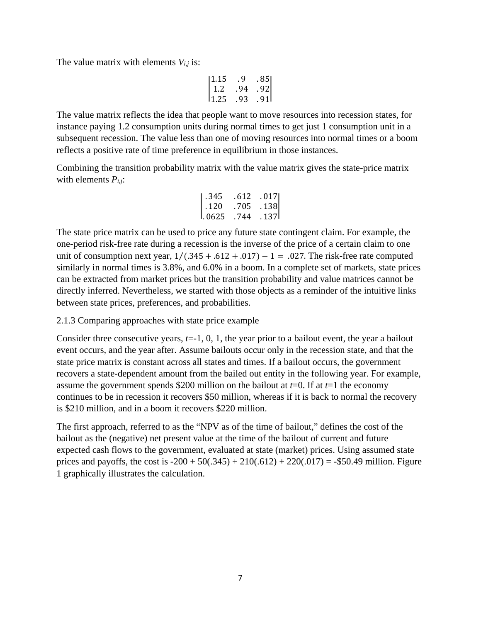The value matrix with elements  $V_{i,j}$  is:

$$
\begin{vmatrix} 1.15 & .9 & .85 \\ 1.2 & .94 & .92 \\ 1.25 & .93 & .91 \end{vmatrix}
$$

The value matrix reflects the idea that people want to move resources into recession states, for instance paying 1.2 consumption units during normal times to get just 1 consumption unit in a subsequent recession. The value less than one of moving resources into normal times or a boom reflects a positive rate of time preference in equilibrium in those instances.

Combining the transition probability matrix with the value matrix gives the state-price matrix with elements  $P_{i,i}$ :

| l . 345      | . 612 | .017  |
|--------------|-------|-------|
| $\vert$ .120 | .705  | .138  |
| I. 0625      | . 744 | . 137 |

The state price matrix can be used to price any future state contingent claim. For example, the one-period risk-free rate during a recession is the inverse of the price of a certain claim to one unit of consumption next year,  $1/(0.345 + 0.612 + 0.017) - 1 = 0.027$ . The risk-free rate computed similarly in normal times is 3.8%, and 6.0% in a boom. In a complete set of markets, state prices can be extracted from market prices but the transition probability and value matrices cannot be directly inferred. Nevertheless, we started with those objects as a reminder of the intuitive links between state prices, preferences, and probabilities.

2.1.3 Comparing approaches with state price example

Consider three consecutive years, *t*=-1, 0, 1, the year prior to a bailout event, the year a bailout event occurs, and the year after. Assume bailouts occur only in the recession state, and that the state price matrix is constant across all states and times. If a bailout occurs, the government recovers a state-dependent amount from the bailed out entity in the following year. For example, assume the government spends \$200 million on the bailout at  $t=0$ . If at  $t=1$  the economy continues to be in recession it recovers \$50 million, whereas if it is back to normal the recovery is \$210 million, and in a boom it recovers \$220 million.

The first approach, referred to as the "NPV as of the time of bailout," defines the cost of the bailout as the (negative) net present value at the time of the bailout of current and future expected cash flows to the government, evaluated at state (market) prices. Using assumed state prices and payoffs, the cost is  $-200 + 50(.345) + 210(.612) + 220(.017) = -\$50.49$  million. Figure 1 graphically illustrates the calculation.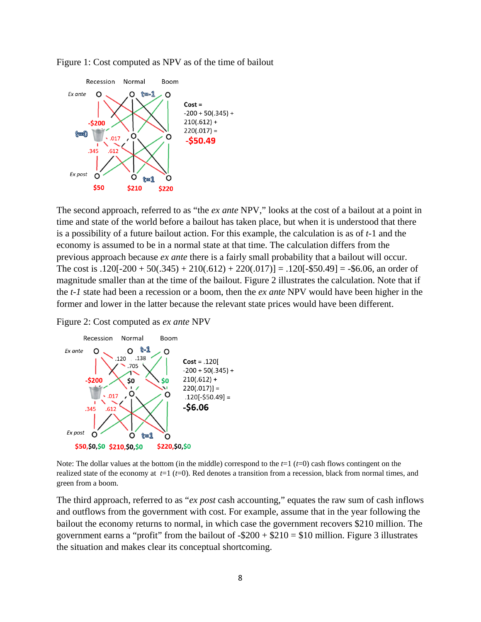

Figure 1: Cost computed as NPV as of the time of bailout

The second approach, referred to as "the *ex ante* NPV," looks at the cost of a bailout at a point in time and state of the world before a bailout has taken place, but when it is understood that there is a possibility of a future bailout action. For this example, the calculation is as of *t*-1 and the economy is assumed to be in a normal state at that time. The calculation differs from the previous approach because *ex ante* there is a fairly small probability that a bailout will occur. The cost is  $.120[-200 + 50(.345) + 210(.612) + 220(.017)] = .120[-\$50.49] = -\$6.06$ , an order of magnitude smaller than at the time of the bailout. Figure 2 illustrates the calculation. Note that if the *t-1* state had been a recession or a boom, then the *ex ante* NPV would have been higher in the former and lower in the latter because the relevant state prices would have been different.

Figure 2: Cost computed as *ex ante* NPV



Note: The dollar values at the bottom (in the middle) correspond to the *t*=1 (*t*=0) cash flows contingent on the realized state of the economy at *t*=1 (*t*=0). Red denotes a transition from a recession, black from normal times, and green from a boom.

The third approach, referred to as "*ex post* cash accounting," equates the raw sum of cash inflows and outflows from the government with cost. For example, assume that in the year following the bailout the economy returns to normal, in which case the government recovers \$210 million. The government earns a "profit" from the bailout of  $-\$200 + \$210 = \$10$  million. Figure 3 illustrates the situation and makes clear its conceptual shortcoming.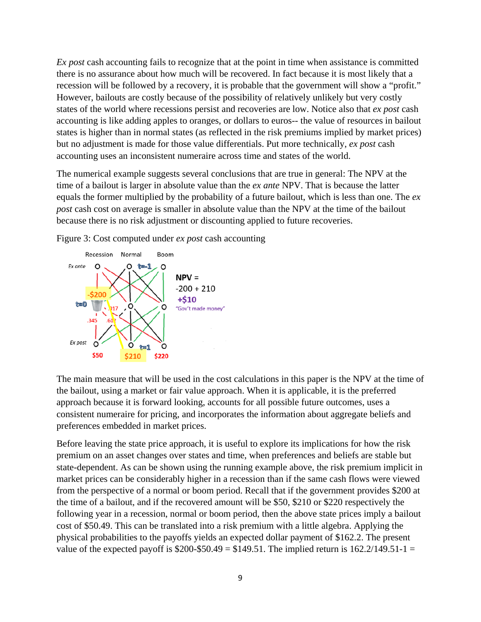*Ex post* cash accounting fails to recognize that at the point in time when assistance is committed there is no assurance about how much will be recovered. In fact because it is most likely that a recession will be followed by a recovery, it is probable that the government will show a "profit." However, bailouts are costly because of the possibility of relatively unlikely but very costly states of the world where recessions persist and recoveries are low. Notice also that *ex post* cash accounting is like adding apples to oranges, or dollars to euros-- the value of resources in bailout states is higher than in normal states (as reflected in the risk premiums implied by market prices) but no adjustment is made for those value differentials. Put more technically, *ex post* cash accounting uses an inconsistent numeraire across time and states of the world.

The numerical example suggests several conclusions that are true in general: The NPV at the time of a bailout is larger in absolute value than the *ex ante* NPV. That is because the latter equals the former multiplied by the probability of a future bailout, which is less than one. The *ex post* cash cost on average is smaller in absolute value than the NPV at the time of the bailout because there is no risk adjustment or discounting applied to future recoveries.

Figure 3: Cost computed under *ex post* cash accounting



The main measure that will be used in the cost calculations in this paper is the NPV at the time of the bailout, using a market or fair value approach. When it is applicable, it is the preferred approach because it is forward looking, accounts for all possible future outcomes, uses a consistent numeraire for pricing, and incorporates the information about aggregate beliefs and preferences embedded in market prices.

Before leaving the state price approach, it is useful to explore its implications for how the risk premium on an asset changes over states and time, when preferences and beliefs are stable but state-dependent. As can be shown using the running example above, the risk premium implicit in market prices can be considerably higher in a recession than if the same cash flows were viewed from the perspective of a normal or boom period. Recall that if the government provides \$200 at the time of a bailout, and if the recovered amount will be \$50, \$210 or \$220 respectively the following year in a recession, normal or boom period, then the above state prices imply a bailout cost of \$50.49. This can be translated into a risk premium with a little algebra. Applying the physical probabilities to the payoffs yields an expected dollar payment of \$162.2. The present value of the expected payoff is  $$200-$50.49 = $149.51$ . The implied return is  $162.2/149.51-1 =$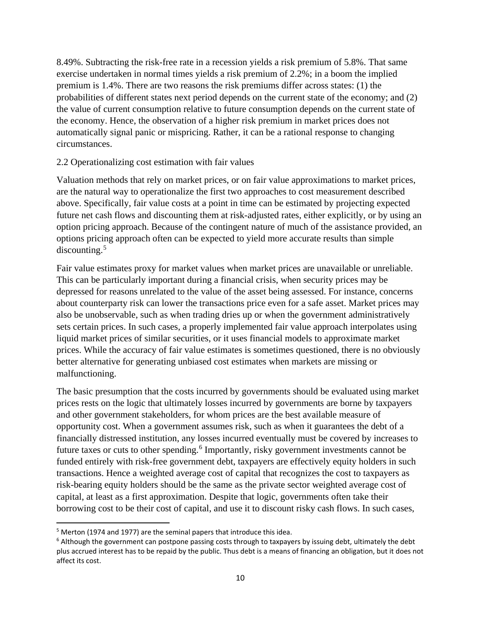8.49%. Subtracting the risk-free rate in a recession yields a risk premium of 5.8%. That same exercise undertaken in normal times yields a risk premium of 2.2%; in a boom the implied premium is 1.4%. There are two reasons the risk premiums differ across states: (1) the probabilities of different states next period depends on the current state of the economy; and (2) the value of current consumption relative to future consumption depends on the current state of the economy. Hence, the observation of a higher risk premium in market prices does not automatically signal panic or mispricing. Rather, it can be a rational response to changing circumstances.

### 2.2 Operationalizing cost estimation with fair values

Valuation methods that rely on market prices, or on fair value approximations to market prices, are the natural way to operationalize the first two approaches to cost measurement described above. Specifically, fair value costs at a point in time can be estimated by projecting expected future net cash flows and discounting them at risk-adjusted rates, either explicitly, or by using an option pricing approach. Because of the contingent nature of much of the assistance provided, an options pricing approach often can be expected to yield more accurate results than simple discounting.[5](#page-9-0)

Fair value estimates proxy for market values when market prices are unavailable or unreliable. This can be particularly important during a financial crisis, when security prices may be depressed for reasons unrelated to the value of the asset being assessed. For instance, concerns about counterparty risk can lower the transactions price even for a safe asset. Market prices may also be unobservable, such as when trading dries up or when the government administratively sets certain prices. In such cases, a properly implemented fair value approach interpolates using liquid market prices of similar securities, or it uses financial models to approximate market prices. While the accuracy of fair value estimates is sometimes questioned, there is no obviously better alternative for generating unbiased cost estimates when markets are missing or malfunctioning.

The basic presumption that the costs incurred by governments should be evaluated using market prices rests on the logic that ultimately losses incurred by governments are borne by taxpayers and other government stakeholders, for whom prices are the best available measure of opportunity cost. When a government assumes risk, such as when it guarantees the debt of a financially distressed institution, any losses incurred eventually must be covered by increases to future taxes or cuts to other spending.<sup>[6](#page-9-1)</sup> Importantly, risky government investments cannot be funded entirely with risk-free government debt, taxpayers are effectively equity holders in such transactions. Hence a weighted average cost of capital that recognizes the cost to taxpayers as risk-bearing equity holders should be the same as the private sector weighted average cost of capital, at least as a first approximation. Despite that logic, governments often take their borrowing cost to be their cost of capital, and use it to discount risky cash flows. In such cases,

<span id="page-9-0"></span><sup>&</sup>lt;sup>5</sup> Merton (1974 and 1977) are the seminal papers that introduce this idea.

<span id="page-9-1"></span> $6$  Although the government can postpone passing costs through to taxpayers by issuing debt, ultimately the debt plus accrued interest has to be repaid by the public. Thus debt is a means of financing an obligation, but it does not affect its cost.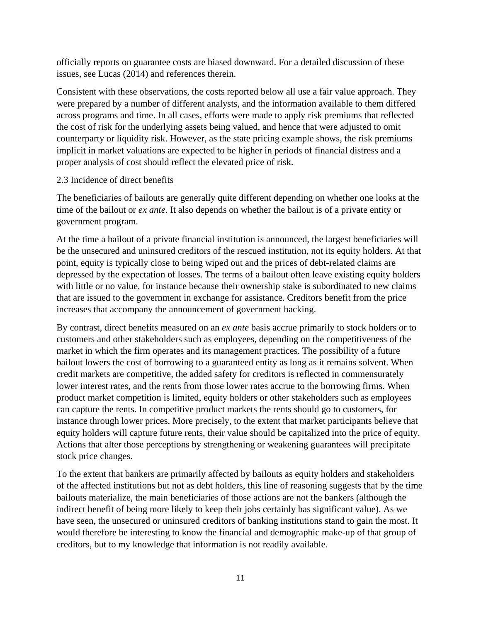officially reports on guarantee costs are biased downward. For a detailed discussion of these issues, see Lucas (2014) and references therein.

Consistent with these observations, the costs reported below all use a fair value approach. They were prepared by a number of different analysts, and the information available to them differed across programs and time. In all cases, efforts were made to apply risk premiums that reflected the cost of risk for the underlying assets being valued, and hence that were adjusted to omit counterparty or liquidity risk. However, as the state pricing example shows, the risk premiums implicit in market valuations are expected to be higher in periods of financial distress and a proper analysis of cost should reflect the elevated price of risk.

### 2.3 Incidence of direct benefits

The beneficiaries of bailouts are generally quite different depending on whether one looks at the time of the bailout or *ex ante*. It also depends on whether the bailout is of a private entity or government program.

At the time a bailout of a private financial institution is announced, the largest beneficiaries will be the unsecured and uninsured creditors of the rescued institution, not its equity holders. At that point, equity is typically close to being wiped out and the prices of debt-related claims are depressed by the expectation of losses. The terms of a bailout often leave existing equity holders with little or no value, for instance because their ownership stake is subordinated to new claims that are issued to the government in exchange for assistance. Creditors benefit from the price increases that accompany the announcement of government backing.

By contrast, direct benefits measured on an *ex ante* basis accrue primarily to stock holders or to customers and other stakeholders such as employees, depending on the competitiveness of the market in which the firm operates and its management practices. The possibility of a future bailout lowers the cost of borrowing to a guaranteed entity as long as it remains solvent. When credit markets are competitive, the added safety for creditors is reflected in commensurately lower interest rates, and the rents from those lower rates accrue to the borrowing firms. When product market competition is limited, equity holders or other stakeholders such as employees can capture the rents. In competitive product markets the rents should go to customers, for instance through lower prices. More precisely, to the extent that market participants believe that equity holders will capture future rents, their value should be capitalized into the price of equity. Actions that alter those perceptions by strengthening or weakening guarantees will precipitate stock price changes.

To the extent that bankers are primarily affected by bailouts as equity holders and stakeholders of the affected institutions but not as debt holders, this line of reasoning suggests that by the time bailouts materialize, the main beneficiaries of those actions are not the bankers (although the indirect benefit of being more likely to keep their jobs certainly has significant value). As we have seen, the unsecured or uninsured creditors of banking institutions stand to gain the most. It would therefore be interesting to know the financial and demographic make-up of that group of creditors, but to my knowledge that information is not readily available.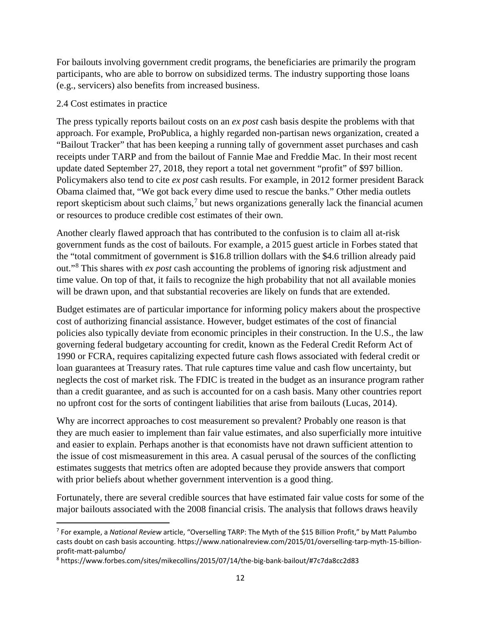For bailouts involving government credit programs, the beneficiaries are primarily the program participants, who are able to borrow on subsidized terms. The industry supporting those loans (e.g., servicers) also benefits from increased business.

### 2.4 Cost estimates in practice

The press typically reports bailout costs on an *ex post* cash basis despite the problems with that approach. For example, ProPublica, a highly regarded non-partisan news organization, created a "Bailout Tracker" that has been keeping a running tally of government asset purchases and cash receipts under TARP and from the bailout of Fannie Mae and Freddie Mac. In their most recent update dated September 27, 2018, they report a total net government "profit" of \$97 billion. Policymakers also tend to cite *ex post* cash results. For example, in 2012 former president Barack Obama claimed that, "We got back every dime used to rescue the banks." Other media outlets report skepticism about such claims,<sup>[7](#page-11-0)</sup> but news organizations generally lack the financial acumen or resources to produce credible cost estimates of their own.

Another clearly flawed approach that has contributed to the confusion is to claim all at-risk government funds as the cost of bailouts. For example, a 2015 guest article in Forbes stated that the "total commitment of government is \$16.8 trillion dollars with the \$4.6 trillion already paid out."[8](#page-11-1) This shares with *ex post* cash accounting the problems of ignoring risk adjustment and time value. On top of that, it fails to recognize the high probability that not all available monies will be drawn upon, and that substantial recoveries are likely on funds that are extended.

Budget estimates are of particular importance for informing policy makers about the prospective cost of authorizing financial assistance. However, budget estimates of the cost of financial policies also typically deviate from economic principles in their construction. In the U.S., the law governing federal budgetary accounting for credit, known as the Federal Credit Reform Act of 1990 or FCRA, requires capitalizing expected future cash flows associated with federal credit or loan guarantees at Treasury rates. That rule captures time value and cash flow uncertainty, but neglects the cost of market risk. The FDIC is treated in the budget as an insurance program rather than a credit guarantee, and as such is accounted for on a cash basis. Many other countries report no upfront cost for the sorts of contingent liabilities that arise from bailouts (Lucas, 2014).

Why are incorrect approaches to cost measurement so prevalent? Probably one reason is that they are much easier to implement than fair value estimates, and also superficially more intuitive and easier to explain. Perhaps another is that economists have not drawn sufficient attention to the issue of cost mismeasurement in this area. A casual perusal of the sources of the conflicting estimates suggests that metrics often are adopted because they provide answers that comport with prior beliefs about whether government intervention is a good thing.

Fortunately, there are several credible sources that have estimated fair value costs for some of the major bailouts associated with the 2008 financial crisis. The analysis that follows draws heavily

<span id="page-11-0"></span> <sup>7</sup> For example, a *National Review* article, "Overselling TARP: The Myth of the \$15 Billion Profit," by Matt Palumbo casts doubt on cash basis accounting. https://www.nationalreview.com/2015/01/overselling-tarp-myth-15-billionprofit-matt-palumbo/

<span id="page-11-1"></span><sup>8</sup> https://www.forbes.com/sites/mikecollins/2015/07/14/the-big-bank-bailout/#7c7da8cc2d83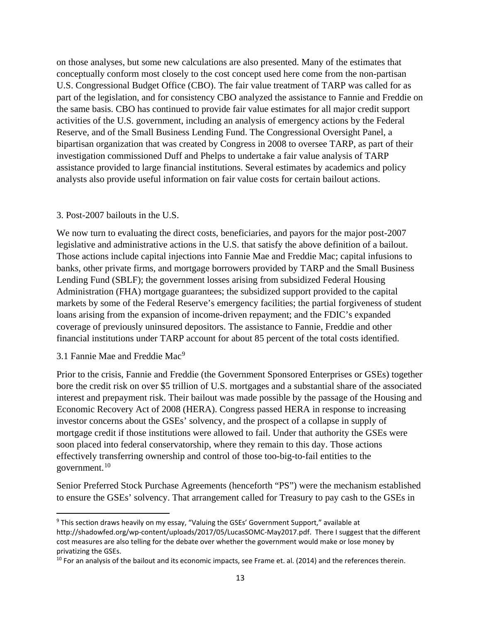on those analyses, but some new calculations are also presented. Many of the estimates that conceptually conform most closely to the cost concept used here come from the non-partisan U.S. Congressional Budget Office (CBO). The fair value treatment of TARP was called for as part of the legislation, and for consistency CBO analyzed the assistance to Fannie and Freddie on the same basis. CBO has continued to provide fair value estimates for all major credit support activities of the U.S. government, including an analysis of emergency actions by the Federal Reserve, and of the Small Business Lending Fund. The Congressional Oversight Panel, a bipartisan organization that was created by Congress in 2008 to oversee TARP, as part of their investigation commissioned Duff and Phelps to undertake a fair value analysis of TARP assistance provided to large financial institutions. Several estimates by academics and policy analysts also provide useful information on fair value costs for certain bailout actions.

#### 3. Post-2007 bailouts in the U.S.

We now turn to evaluating the direct costs, beneficiaries, and payors for the major post-2007 legislative and administrative actions in the U.S. that satisfy the above definition of a bailout. Those actions include capital injections into Fannie Mae and Freddie Mac; capital infusions to banks, other private firms, and mortgage borrowers provided by TARP and the Small Business Lending Fund (SBLF); the government losses arising from subsidized Federal Housing Administration (FHA) mortgage guarantees; the subsidized support provided to the capital markets by some of the Federal Reserve's emergency facilities; the partial forgiveness of student loans arising from the expansion of income-driven repayment; and the FDIC's expanded coverage of previously uninsured depositors. The assistance to Fannie, Freddie and other financial institutions under TARP account for about 85 percent of the total costs identified.

#### 3.1 Fannie Mae and Freddie Mac<sup>[9](#page-12-0)</sup>

Prior to the crisis, Fannie and Freddie (the Government Sponsored Enterprises or GSEs) together bore the credit risk on over \$5 trillion of U.S. mortgages and a substantial share of the associated interest and prepayment risk. Their bailout was made possible by the passage of the Housing and Economic Recovery Act of 2008 (HERA). Congress passed HERA in response to increasing investor concerns about the GSEs' solvency, and the prospect of a collapse in supply of mortgage credit if those institutions were allowed to fail. Under that authority the GSEs were soon placed into federal conservatorship, where they remain to this day. Those actions effectively transferring ownership and control of those too-big-to-fail entities to the government.[10](#page-12-1)

Senior Preferred Stock Purchase Agreements (henceforth "PS") were the mechanism established to ensure the GSEs' solvency. That arrangement called for Treasury to pay cash to the GSEs in

<span id="page-12-0"></span><sup>&</sup>lt;sup>9</sup> This section draws heavily on my essay, "Valuing the GSEs' Government Support," available at http://shadowfed.org/wp-content/uploads/2017/05/LucasSOMC-May2017.pdf. There I suggest that the different cost measures are also telling for the debate over whether the government would make or lose money by privatizing the GSEs.

<span id="page-12-1"></span> $10$  For an analysis of the bailout and its economic impacts, see Frame et. al. (2014) and the references therein.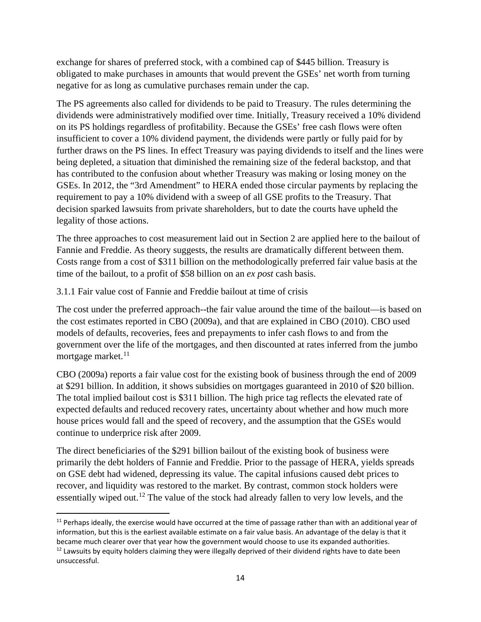exchange for shares of preferred stock, with a combined cap of \$445 billion. Treasury is obligated to make purchases in amounts that would prevent the GSEs' net worth from turning negative for as long as cumulative purchases remain under the cap.

The PS agreements also called for dividends to be paid to Treasury. The rules determining the dividends were administratively modified over time. Initially, Treasury received a 10% dividend on its PS holdings regardless of profitability. Because the GSEs' free cash flows were often insufficient to cover a 10% dividend payment, the dividends were partly or fully paid for by further draws on the PS lines. In effect Treasury was paying dividends to itself and the lines were being depleted, a situation that diminished the remaining size of the federal backstop, and that has contributed to the confusion about whether Treasury was making or losing money on the GSEs. In 2012, the "3rd Amendment" to HERA ended those circular payments by replacing the requirement to pay a 10% dividend with a sweep of all GSE profits to the Treasury. That decision sparked lawsuits from private shareholders, but to date the courts have upheld the legality of those actions.

The three approaches to cost measurement laid out in Section 2 are applied here to the bailout of Fannie and Freddie. As theory suggests, the results are dramatically different between them. Costs range from a cost of \$311 billion on the methodologically preferred fair value basis at the time of the bailout, to a profit of \$58 billion on an *ex post* cash basis.

3.1.1 Fair value cost of Fannie and Freddie bailout at time of crisis

The cost under the preferred approach--the fair value around the time of the bailout—is based on the cost estimates reported in CBO (2009a), and that are explained in CBO (2010). CBO used models of defaults, recoveries, fees and prepayments to infer cash flows to and from the government over the life of the mortgages, and then discounted at rates inferred from the jumbo mortgage market. $11$ 

CBO (2009a) reports a fair value cost for the existing book of business through the end of 2009 at \$291 billion. In addition, it shows subsidies on mortgages guaranteed in 2010 of \$20 billion. The total implied bailout cost is \$311 billion. The high price tag reflects the elevated rate of expected defaults and reduced recovery rates, uncertainty about whether and how much more house prices would fall and the speed of recovery, and the assumption that the GSEs would continue to underprice risk after 2009.

The direct beneficiaries of the \$291 billion bailout of the existing book of business were primarily the debt holders of Fannie and Freddie. Prior to the passage of HERA, yields spreads on GSE debt had widened, depressing its value. The capital infusions caused debt prices to recover, and liquidity was restored to the market. By contrast, common stock holders were essentially wiped out.<sup>[12](#page-13-1)</sup> The value of the stock had already fallen to very low levels, and the

<span id="page-13-0"></span> $11$  Perhaps ideally, the exercise would have occurred at the time of passage rather than with an additional year of information, but this is the earliest available estimate on a fair value basis. An advantage of the delay is that it became much clearer over that year how the government would choose to use its expanded authorities. <sup>12</sup> Lawsuits by equity holders claiming they were illegally deprived of their dividend rights have to date been

<span id="page-13-1"></span>unsuccessful.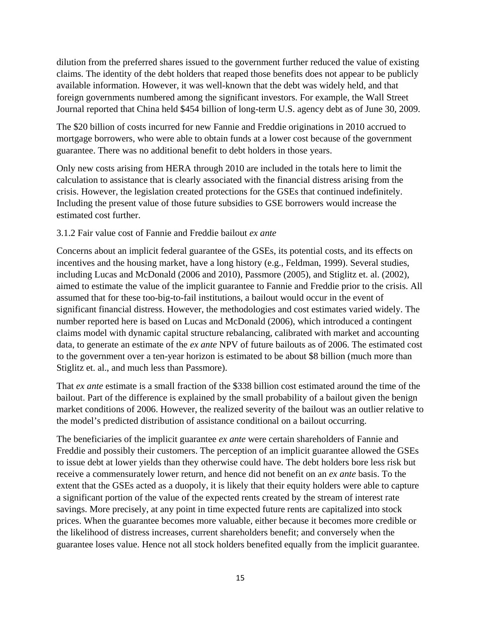dilution from the preferred shares issued to the government further reduced the value of existing claims. The identity of the debt holders that reaped those benefits does not appear to be publicly available information. However, it was well-known that the debt was widely held, and that foreign governments numbered among the significant investors. For example, the Wall Street Journal reported that China held \$454 billion of long-term U.S. agency debt as of June 30, 2009.

The \$20 billion of costs incurred for new Fannie and Freddie originations in 2010 accrued to mortgage borrowers, who were able to obtain funds at a lower cost because of the government guarantee. There was no additional benefit to debt holders in those years.

Only new costs arising from HERA through 2010 are included in the totals here to limit the calculation to assistance that is clearly associated with the financial distress arising from the crisis. However, the legislation created protections for the GSEs that continued indefinitely. Including the present value of those future subsidies to GSE borrowers would increase the estimated cost further.

## 3.1.2 Fair value cost of Fannie and Freddie bailout *ex ante*

Concerns about an implicit federal guarantee of the GSEs, its potential costs, and its effects on incentives and the housing market, have a long history (e.g., Feldman, 1999). Several studies, including Lucas and McDonald (2006 and 2010), Passmore (2005), and Stiglitz et. al. (2002), aimed to estimate the value of the implicit guarantee to Fannie and Freddie prior to the crisis. All assumed that for these too-big-to-fail institutions, a bailout would occur in the event of significant financial distress. However, the methodologies and cost estimates varied widely. The number reported here is based on Lucas and McDonald (2006), which introduced a contingent claims model with dynamic capital structure rebalancing, calibrated with market and accounting data, to generate an estimate of the *ex ante* NPV of future bailouts as of 2006. The estimated cost to the government over a ten-year horizon is estimated to be about \$8 billion (much more than Stiglitz et. al., and much less than Passmore).

That *ex ante* estimate is a small fraction of the \$338 billion cost estimated around the time of the bailout. Part of the difference is explained by the small probability of a bailout given the benign market conditions of 2006. However, the realized severity of the bailout was an outlier relative to the model's predicted distribution of assistance conditional on a bailout occurring.

The beneficiaries of the implicit guarantee *ex ante* were certain shareholders of Fannie and Freddie and possibly their customers. The perception of an implicit guarantee allowed the GSEs to issue debt at lower yields than they otherwise could have. The debt holders bore less risk but receive a commensurately lower return, and hence did not benefit on an *ex ante* basis. To the extent that the GSEs acted as a duopoly, it is likely that their equity holders were able to capture a significant portion of the value of the expected rents created by the stream of interest rate savings. More precisely, at any point in time expected future rents are capitalized into stock prices. When the guarantee becomes more valuable, either because it becomes more credible or the likelihood of distress increases, current shareholders benefit; and conversely when the guarantee loses value. Hence not all stock holders benefited equally from the implicit guarantee.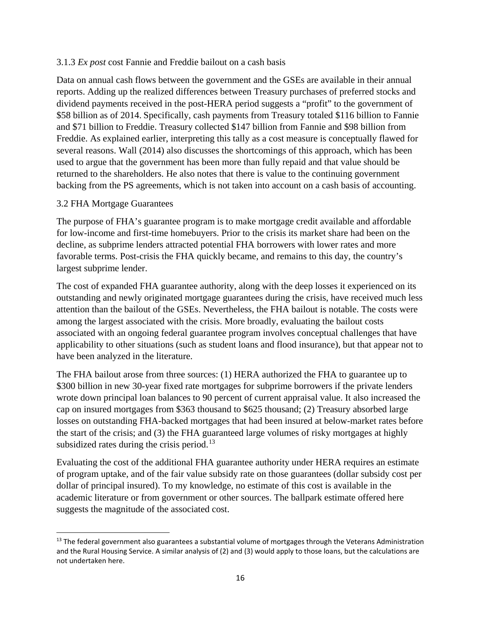### 3.1.3 *Ex post* cost Fannie and Freddie bailout on a cash basis

Data on annual cash flows between the government and the GSEs are available in their annual reports. Adding up the realized differences between Treasury purchases of preferred stocks and dividend payments received in the post-HERA period suggests a "profit" to the government of \$58 billion as of 2014. Specifically, cash payments from Treasury totaled \$116 billion to Fannie and \$71 billion to Freddie. Treasury collected \$147 billion from Fannie and \$98 billion from Freddie. As explained earlier, interpreting this tally as a cost measure is conceptually flawed for several reasons. Wall (2014) also discusses the shortcomings of this approach, which has been used to argue that the government has been more than fully repaid and that value should be returned to the shareholders. He also notes that there is value to the continuing government backing from the PS agreements, which is not taken into account on a cash basis of accounting.

### 3.2 FHA Mortgage Guarantees

The purpose of FHA's guarantee program is to make mortgage credit available and affordable for low-income and first-time homebuyers. Prior to the crisis its market share had been on the decline, as subprime lenders attracted potential FHA borrowers with lower rates and more favorable terms. Post-crisis the FHA quickly became, and remains to this day, the country's largest subprime lender.

The cost of expanded FHA guarantee authority, along with the deep losses it experienced on its outstanding and newly originated mortgage guarantees during the crisis, have received much less attention than the bailout of the GSEs. Nevertheless, the FHA bailout is notable. The costs were among the largest associated with the crisis. More broadly, evaluating the bailout costs associated with an ongoing federal guarantee program involves conceptual challenges that have applicability to other situations (such as student loans and flood insurance), but that appear not to have been analyzed in the literature.

The FHA bailout arose from three sources: (1) HERA authorized the FHA to guarantee up to \$300 billion in new 30-year fixed rate mortgages for subprime borrowers if the private lenders wrote down principal loan balances to 90 percent of current appraisal value. It also increased the cap on insured mortgages from \$363 thousand to \$625 thousand; (2) Treasury absorbed large losses on outstanding FHA-backed mortgages that had been insured at below-market rates before the start of the crisis; and (3) the FHA guaranteed large volumes of risky mortgages at highly subsidized rates during the crisis period.<sup>[13](#page-15-0)</sup>

Evaluating the cost of the additional FHA guarantee authority under HERA requires an estimate of program uptake, and of the fair value subsidy rate on those guarantees (dollar subsidy cost per dollar of principal insured). To my knowledge, no estimate of this cost is available in the academic literature or from government or other sources. The ballpark estimate offered here suggests the magnitude of the associated cost.

<span id="page-15-0"></span><sup>&</sup>lt;sup>13</sup> The federal government also guarantees a substantial volume of mortgages through the Veterans Administration and the Rural Housing Service. A similar analysis of (2) and (3) would apply to those loans, but the calculations are not undertaken here.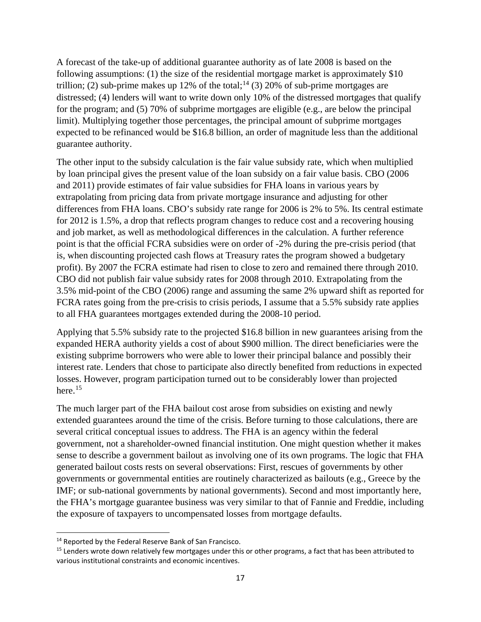A forecast of the take-up of additional guarantee authority as of late 2008 is based on the following assumptions: (1) the size of the residential mortgage market is approximately \$10 trillion; (2) sub-prime makes up 12% of the total;<sup>[14](#page-16-0)</sup> (3) 20% of sub-prime mortgages are distressed; (4) lenders will want to write down only 10% of the distressed mortgages that qualify for the program; and (5) 70% of subprime mortgages are eligible (e.g., are below the principal limit). Multiplying together those percentages, the principal amount of subprime mortgages expected to be refinanced would be \$16.8 billion, an order of magnitude less than the additional guarantee authority.

The other input to the subsidy calculation is the fair value subsidy rate, which when multiplied by loan principal gives the present value of the loan subsidy on a fair value basis. CBO (2006 and 2011) provide estimates of fair value subsidies for FHA loans in various years by extrapolating from pricing data from private mortgage insurance and adjusting for other differences from FHA loans. CBO's subsidy rate range for 2006 is 2% to 5%. Its central estimate for 2012 is 1.5%, a drop that reflects program changes to reduce cost and a recovering housing and job market, as well as methodological differences in the calculation. A further reference point is that the official FCRA subsidies were on order of -2% during the pre-crisis period (that is, when discounting projected cash flows at Treasury rates the program showed a budgetary profit). By 2007 the FCRA estimate had risen to close to zero and remained there through 2010. CBO did not publish fair value subsidy rates for 2008 through 2010. Extrapolating from the 3.5% mid-point of the CBO (2006) range and assuming the same 2% upward shift as reported for FCRA rates going from the pre-crisis to crisis periods, I assume that a 5.5% subsidy rate applies to all FHA guarantees mortgages extended during the 2008-10 period.

Applying that 5.5% subsidy rate to the projected \$16.8 billion in new guarantees arising from the expanded HERA authority yields a cost of about \$900 million. The direct beneficiaries were the existing subprime borrowers who were able to lower their principal balance and possibly their interest rate. Lenders that chose to participate also directly benefited from reductions in expected losses. However, program participation turned out to be considerably lower than projected here. [15](#page-16-1)

The much larger part of the FHA bailout cost arose from subsidies on existing and newly extended guarantees around the time of the crisis. Before turning to those calculations, there are several critical conceptual issues to address. The FHA is an agency within the federal government, not a shareholder-owned financial institution. One might question whether it makes sense to describe a government bailout as involving one of its own programs. The logic that FHA generated bailout costs rests on several observations: First, rescues of governments by other governments or governmental entities are routinely characterized as bailouts (e.g., Greece by the IMF; or sub-national governments by national governments). Second and most importantly here, the FHA's mortgage guarantee business was very similar to that of Fannie and Freddie, including the exposure of taxpayers to uncompensated losses from mortgage defaults.

<span id="page-16-0"></span><sup>&</sup>lt;sup>14</sup> Reported by the Federal Reserve Bank of San Francisco.

<span id="page-16-1"></span><sup>&</sup>lt;sup>15</sup> Lenders wrote down relatively few mortgages under this or other programs, a fact that has been attributed to various institutional constraints and economic incentives.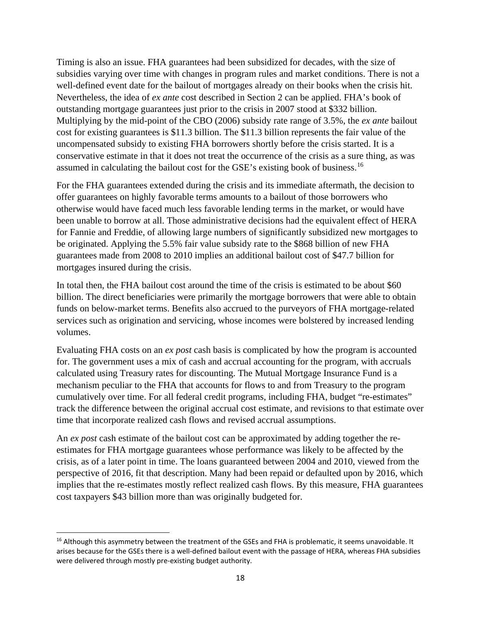Timing is also an issue. FHA guarantees had been subsidized for decades, with the size of subsidies varying over time with changes in program rules and market conditions. There is not a well-defined event date for the bailout of mortgages already on their books when the crisis hit. Nevertheless, the idea of *ex ante* cost described in Section 2 can be applied. FHA's book of outstanding mortgage guarantees just prior to the crisis in 2007 stood at \$332 billion. Multiplying by the mid-point of the CBO (2006) subsidy rate range of 3.5%, the *ex ante* bailout cost for existing guarantees is \$11.3 billion. The \$11.3 billion represents the fair value of the uncompensated subsidy to existing FHA borrowers shortly before the crisis started. It is a conservative estimate in that it does not treat the occurrence of the crisis as a sure thing, as was assumed in calculating the bailout cost for the GSE's existing book of business.[16](#page-17-0)

For the FHA guarantees extended during the crisis and its immediate aftermath, the decision to offer guarantees on highly favorable terms amounts to a bailout of those borrowers who otherwise would have faced much less favorable lending terms in the market, or would have been unable to borrow at all. Those administrative decisions had the equivalent effect of HERA for Fannie and Freddie, of allowing large numbers of significantly subsidized new mortgages to be originated. Applying the 5.5% fair value subsidy rate to the \$868 billion of new FHA guarantees made from 2008 to 2010 implies an additional bailout cost of \$47.7 billion for mortgages insured during the crisis.

In total then, the FHA bailout cost around the time of the crisis is estimated to be about \$60 billion. The direct beneficiaries were primarily the mortgage borrowers that were able to obtain funds on below-market terms. Benefits also accrued to the purveyors of FHA mortgage-related services such as origination and servicing, whose incomes were bolstered by increased lending volumes.

Evaluating FHA costs on an *ex post* cash basis is complicated by how the program is accounted for. The government uses a mix of cash and accrual accounting for the program, with accruals calculated using Treasury rates for discounting. The Mutual Mortgage Insurance Fund is a mechanism peculiar to the FHA that accounts for flows to and from Treasury to the program cumulatively over time. For all federal credit programs, including FHA, budget "re-estimates" track the difference between the original accrual cost estimate, and revisions to that estimate over time that incorporate realized cash flows and revised accrual assumptions.

An *ex post* cash estimate of the bailout cost can be approximated by adding together the reestimates for FHA mortgage guarantees whose performance was likely to be affected by the crisis, as of a later point in time. The loans guaranteed between 2004 and 2010, viewed from the perspective of 2016, fit that description. Many had been repaid or defaulted upon by 2016, which implies that the re-estimates mostly reflect realized cash flows. By this measure, FHA guarantees cost taxpayers \$43 billion more than was originally budgeted for.

<span id="page-17-0"></span><sup>&</sup>lt;sup>16</sup> Although this asymmetry between the treatment of the GSEs and FHA is problematic, it seems unavoidable. It arises because for the GSEs there is a well-defined bailout event with the passage of HERA, whereas FHA subsidies were delivered through mostly pre-existing budget authority.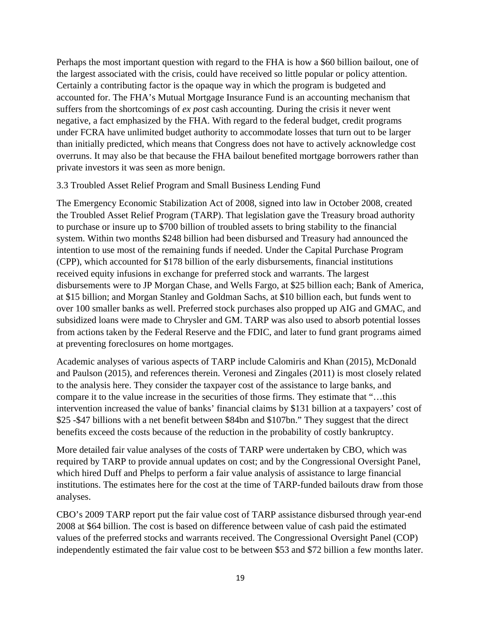Perhaps the most important question with regard to the FHA is how a \$60 billion bailout, one of the largest associated with the crisis, could have received so little popular or policy attention. Certainly a contributing factor is the opaque way in which the program is budgeted and accounted for. The FHA's Mutual Mortgage Insurance Fund is an accounting mechanism that suffers from the shortcomings of *ex post* cash accounting. During the crisis it never went negative, a fact emphasized by the FHA. With regard to the federal budget, credit programs under FCRA have unlimited budget authority to accommodate losses that turn out to be larger than initially predicted, which means that Congress does not have to actively acknowledge cost overruns. It may also be that because the FHA bailout benefited mortgage borrowers rather than private investors it was seen as more benign.

#### 3.3 Troubled Asset Relief Program and Small Business Lending Fund

The Emergency Economic Stabilization Act of 2008, signed into law in October 2008, created the Troubled Asset Relief Program (TARP). That legislation gave the Treasury broad authority to purchase or insure up to \$700 billion of troubled assets to bring stability to the financial system. Within two months \$248 billion had been disbursed and Treasury had announced the intention to use most of the remaining funds if needed. Under the Capital Purchase Program (CPP), which accounted for \$178 billion of the early disbursements, financial institutions received equity infusions in exchange for preferred stock and warrants. The largest disbursements were to JP Morgan Chase, and Wells Fargo, at \$25 billion each; Bank of America, at \$15 billion; and Morgan Stanley and Goldman Sachs, at \$10 billion each, but funds went to over 100 smaller banks as well. Preferred stock purchases also propped up AIG and GMAC, and subsidized loans were made to Chrysler and GM. TARP was also used to absorb potential losses from actions taken by the Federal Reserve and the FDIC, and later to fund grant programs aimed at preventing foreclosures on home mortgages.

Academic analyses of various aspects of TARP include Calomiris and Khan (2015), McDonald and Paulson (2015), and references therein. Veronesi and Zingales (2011) is most closely related to the analysis here. They consider the taxpayer cost of the assistance to large banks, and compare it to the value increase in the securities of those firms. They estimate that "…this intervention increased the value of banks' financial claims by \$131 billion at a taxpayers' cost of \$25 -\$47 billions with a net benefit between \$84bn and \$107bn." They suggest that the direct benefits exceed the costs because of the reduction in the probability of costly bankruptcy.

More detailed fair value analyses of the costs of TARP were undertaken by CBO, which was required by TARP to provide annual updates on cost; and by the Congressional Oversight Panel, which hired Duff and Phelps to perform a fair value analysis of assistance to large financial institutions. The estimates here for the cost at the time of TARP-funded bailouts draw from those analyses.

CBO's 2009 TARP report put the fair value cost of TARP assistance disbursed through year-end 2008 at \$64 billion. The cost is based on difference between value of cash paid the estimated values of the preferred stocks and warrants received. The Congressional Oversight Panel (COP) independently estimated the fair value cost to be between \$53 and \$72 billion a few months later.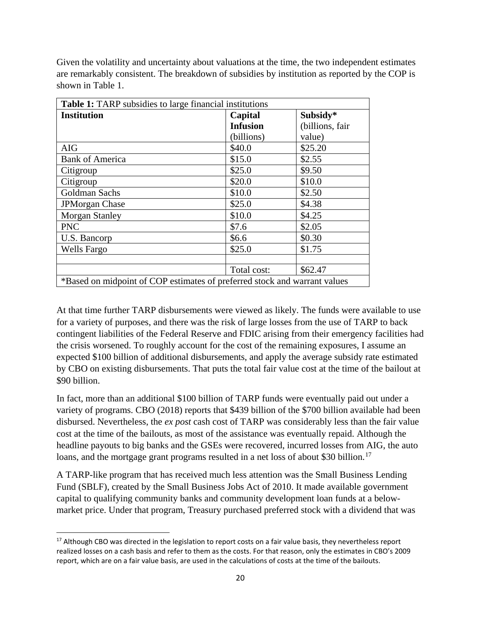Given the volatility and uncertainty about valuations at the time, the two independent estimates are remarkably consistent. The breakdown of subsidies by institution as reported by the COP is shown in Table 1.

| <b>Table 1:</b> TARP subsidies to large financial institutions            |                 |                 |  |  |
|---------------------------------------------------------------------------|-----------------|-----------------|--|--|
| <b>Institution</b>                                                        | Capital         | Subsidy*        |  |  |
|                                                                           | <b>Infusion</b> | (billions, fair |  |  |
|                                                                           | (billions)      | value)          |  |  |
| <b>AIG</b>                                                                | \$40.0          | \$25.20         |  |  |
| <b>Bank of America</b>                                                    | \$15.0          | \$2.55          |  |  |
| Citigroup                                                                 | \$25.0          | \$9.50          |  |  |
| Citigroup                                                                 | \$20.0          | \$10.0          |  |  |
| Goldman Sachs                                                             | \$10.0          | \$2.50          |  |  |
| <b>JPMorgan Chase</b>                                                     | \$25.0          | \$4.38          |  |  |
| <b>Morgan Stanley</b>                                                     | \$10.0          | \$4.25          |  |  |
| <b>PNC</b>                                                                | \$7.6           | \$2.05          |  |  |
| U.S. Bancorp                                                              | \$6.6           | \$0.30          |  |  |
| <b>Wells Fargo</b>                                                        | \$25.0          | \$1.75          |  |  |
|                                                                           |                 |                 |  |  |
|                                                                           | Total cost:     | \$62.47         |  |  |
| *Based on midpoint of COP estimates of preferred stock and warrant values |                 |                 |  |  |

At that time further TARP disbursements were viewed as likely. The funds were available to use for a variety of purposes, and there was the risk of large losses from the use of TARP to back contingent liabilities of the Federal Reserve and FDIC arising from their emergency facilities had the crisis worsened. To roughly account for the cost of the remaining exposures, I assume an expected \$100 billion of additional disbursements, and apply the average subsidy rate estimated by CBO on existing disbursements. That puts the total fair value cost at the time of the bailout at \$90 billion.

In fact, more than an additional \$100 billion of TARP funds were eventually paid out under a variety of programs. CBO (2018) reports that \$439 billion of the \$700 billion available had been disbursed. Nevertheless, the *ex post* cash cost of TARP was considerably less than the fair value cost at the time of the bailouts, as most of the assistance was eventually repaid. Although the headline payouts to big banks and the GSEs were recovered, incurred losses from AIG, the auto loans, and the mortgage grant programs resulted in a net loss of about \$30 billion.<sup>[17](#page-19-0)</sup>

A TARP-like program that has received much less attention was the Small Business Lending Fund (SBLF), created by the Small Business Jobs Act of 2010. It made available government capital to qualifying community banks and community development loan funds at a belowmarket price. Under that program, Treasury purchased preferred stock with a dividend that was

<span id="page-19-0"></span><sup>&</sup>lt;sup>17</sup> Although CBO was directed in the legislation to report costs on a fair value basis, they nevertheless report realized losses on a cash basis and refer to them as the costs. For that reason, only the estimates in CBO's 2009 report, which are on a fair value basis, are used in the calculations of costs at the time of the bailouts.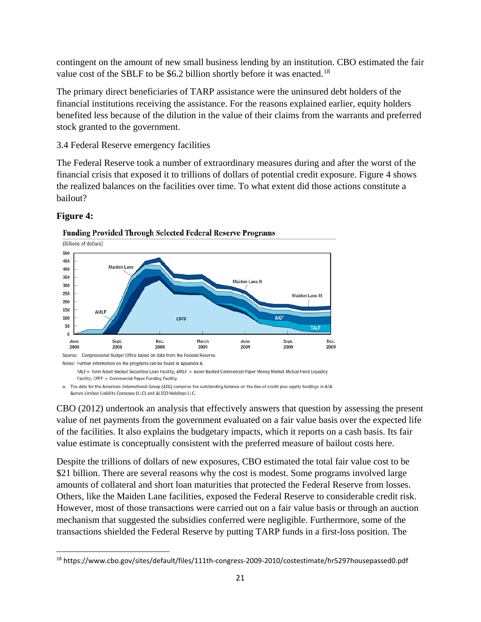contingent on the amount of new small business lending by an institution. CBO estimated the fair value cost of the SBLF to be \$6.2 billion shortly before it was enacted.<sup>[18](#page-20-0)</sup>

The primary direct beneficiaries of TARP assistance were the uninsured debt holders of the financial institutions receiving the assistance. For the reasons explained earlier, equity holders benefited less because of the dilution in the value of their claims from the warrants and preferred stock granted to the government.

3.4 Federal Reserve emergency facilities

The Federal Reserve took a number of extraordinary measures during and after the worst of the financial crisis that exposed it to trillions of dollars of potential credit exposure. Figure 4 shows the realized balances on the facilities over time. To what extent did those actions constitute a bailout?



# **Figure 4:**

**Funding Provided Through Selected Federal Reserve Programs** 

a. The data for the American International Group (AIG) comprise the outstanding balance on the line of credit plus equity holdings in AIA Aurora Limited Liability Company (LLC) and ALICO Holdings LLC.

CBO (2012) undertook an analysis that effectively answers that question by assessing the present value of net payments from the government evaluated on a fair value basis over the expected life of the facilities. It also explains the budgetary impacts, which it reports on a cash basis. Its fair value estimate is conceptually consistent with the preferred measure of bailout costs here.

Despite the trillions of dollars of new exposures, CBO estimated the total fair value cost to be \$21 billion. There are several reasons why the cost is modest. Some programs involved large amounts of collateral and short loan maturities that protected the Federal Reserve from losses. Others, like the Maiden Lane facilities, exposed the Federal Reserve to considerable credit risk. However, most of those transactions were carried out on a fair value basis or through an auction mechanism that suggested the subsidies conferred were negligible. Furthermore, some of the transactions shielded the Federal Reserve by putting TARP funds in a first-loss position. The

<span id="page-20-0"></span> <sup>18</sup> https://www.cbo.gov/sites/default/files/111th-congress-2009-2010/costestimate/hr5297housepassed0.pdf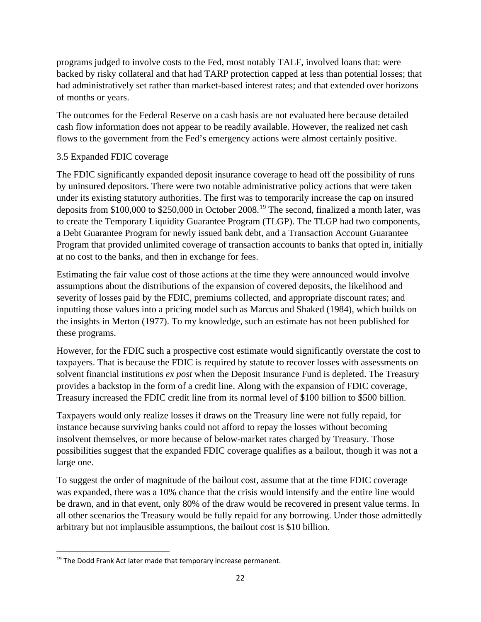programs judged to involve costs to the Fed, most notably TALF, involved loans that: were backed by risky collateral and that had TARP protection capped at less than potential losses; that had administratively set rather than market-based interest rates; and that extended over horizons of months or years.

The outcomes for the Federal Reserve on a cash basis are not evaluated here because detailed cash flow information does not appear to be readily available. However, the realized net cash flows to the government from the Fed's emergency actions were almost certainly positive.

## 3.5 Expanded FDIC coverage

The FDIC significantly expanded deposit insurance coverage to head off the possibility of runs by uninsured depositors. There were two notable administrative policy actions that were taken under its existing statutory authorities. The first was to temporarily increase the cap on insured deposits from \$100,000 to \$250,000 in October 2008.<sup>[19](#page-21-0)</sup> The second, finalized a month later, was to create the Temporary Liquidity Guarantee Program (TLGP). The TLGP had two components, a Debt Guarantee Program for newly issued bank debt, and a Transaction Account Guarantee Program that provided unlimited coverage of transaction accounts to banks that opted in, initially at no cost to the banks, and then in exchange for fees.

Estimating the fair value cost of those actions at the time they were announced would involve assumptions about the distributions of the expansion of covered deposits, the likelihood and severity of losses paid by the FDIC, premiums collected, and appropriate discount rates; and inputting those values into a pricing model such as Marcus and Shaked (1984), which builds on the insights in Merton (1977). To my knowledge, such an estimate has not been published for these programs.

However, for the FDIC such a prospective cost estimate would significantly overstate the cost to taxpayers. That is because the FDIC is required by statute to recover losses with assessments on solvent financial institutions *ex post* when the Deposit Insurance Fund is depleted. The Treasury provides a backstop in the form of a credit line. Along with the expansion of FDIC coverage, Treasury increased the FDIC credit line from its normal level of \$100 billion to \$500 billion.

Taxpayers would only realize losses if draws on the Treasury line were not fully repaid, for instance because surviving banks could not afford to repay the losses without becoming insolvent themselves, or more because of below-market rates charged by Treasury. Those possibilities suggest that the expanded FDIC coverage qualifies as a bailout, though it was not a large one.

To suggest the order of magnitude of the bailout cost, assume that at the time FDIC coverage was expanded, there was a 10% chance that the crisis would intensify and the entire line would be drawn, and in that event, only 80% of the draw would be recovered in present value terms. In all other scenarios the Treasury would be fully repaid for any borrowing. Under those admittedly arbitrary but not implausible assumptions, the bailout cost is \$10 billion.

<span id="page-21-0"></span> $19$  The Dodd Frank Act later made that temporary increase permanent.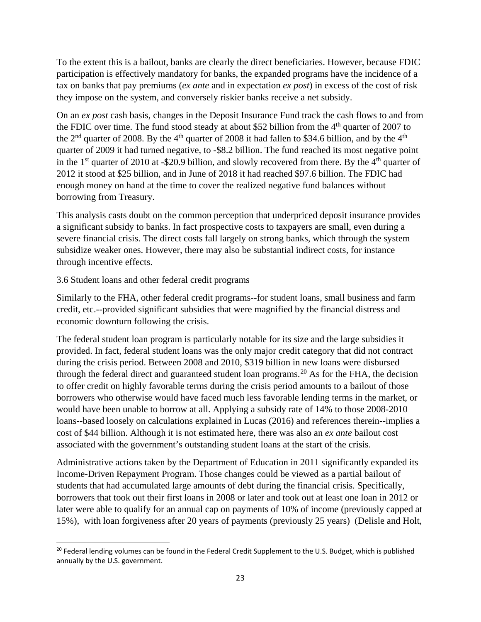To the extent this is a bailout, banks are clearly the direct beneficiaries. However, because FDIC participation is effectively mandatory for banks, the expanded programs have the incidence of a tax on banks that pay premiums (*ex ante* and in expectation *ex post*) in excess of the cost of risk they impose on the system, and conversely riskier banks receive a net subsidy.

On an *ex post* cash basis, changes in the Deposit Insurance Fund track the cash flows to and from the FDIC over time. The fund stood steady at about \$52 billion from the  $4<sup>th</sup>$  quarter of 2007 to the  $2<sup>nd</sup>$  quarter of 2008. By the 4<sup>th</sup> quarter of 2008 it had fallen to \$34.6 billion, and by the 4<sup>th</sup> quarter of 2009 it had turned negative, to -\$8.2 billion. The fund reached its most negative point in the 1<sup>st</sup> quarter of 2010 at -\$20.9 billion, and slowly recovered from there. By the  $4<sup>th</sup>$  quarter of 2012 it stood at \$25 billion, and in June of 2018 it had reached \$97.6 billion. The FDIC had enough money on hand at the time to cover the realized negative fund balances without borrowing from Treasury.

This analysis casts doubt on the common perception that underpriced deposit insurance provides a significant subsidy to banks. In fact prospective costs to taxpayers are small, even during a severe financial crisis. The direct costs fall largely on strong banks, which through the system subsidize weaker ones. However, there may also be substantial indirect costs, for instance through incentive effects.

3.6 Student loans and other federal credit programs

Similarly to the FHA, other federal credit programs--for student loans, small business and farm credit, etc.--provided significant subsidies that were magnified by the financial distress and economic downturn following the crisis.

The federal student loan program is particularly notable for its size and the large subsidies it provided. In fact, federal student loans was the only major credit category that did not contract during the crisis period. Between 2008 and 2010, \$319 billion in new loans were disbursed through the federal direct and guaranteed student loan programs.<sup>[20](#page-22-0)</sup> As for the FHA, the decision to offer credit on highly favorable terms during the crisis period amounts to a bailout of those borrowers who otherwise would have faced much less favorable lending terms in the market, or would have been unable to borrow at all. Applying a subsidy rate of 14% to those 2008-2010 loans--based loosely on calculations explained in Lucas (2016) and references therein--implies a cost of \$44 billion. Although it is not estimated here, there was also an *ex ante* bailout cost associated with the government's outstanding student loans at the start of the crisis.

Administrative actions taken by the Department of Education in 2011 significantly expanded its Income-Driven Repayment Program. Those changes could be viewed as a partial bailout of students that had accumulated large amounts of debt during the financial crisis. Specifically, borrowers that took out their first loans in 2008 or later and took out at least one loan in 2012 or later were able to qualify for an annual cap on payments of 10% of income (previously capped at 15%), with loan forgiveness after 20 years of payments (previously 25 years) (Delisle and Holt,

<span id="page-22-0"></span><sup>&</sup>lt;sup>20</sup> Federal lending volumes can be found in the Federal Credit Supplement to the U.S. Budget, which is published annually by the U.S. government.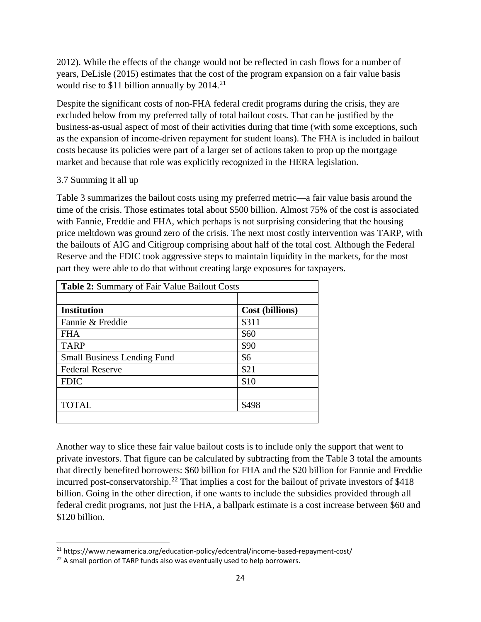2012). While the effects of the change would not be reflected in cash flows for a number of years, DeLisle (2015) estimates that the cost of the program expansion on a fair value basis would rise to \$11 billion annually by 2014.<sup>[21](#page-23-0)</sup>

Despite the significant costs of non-FHA federal credit programs during the crisis, they are excluded below from my preferred tally of total bailout costs. That can be justified by the business-as-usual aspect of most of their activities during that time (with some exceptions, such as the expansion of income-driven repayment for student loans). The FHA is included in bailout costs because its policies were part of a larger set of actions taken to prop up the mortgage market and because that role was explicitly recognized in the HERA legislation.

## 3.7 Summing it all up

Table 3 summarizes the bailout costs using my preferred metric—a fair value basis around the time of the crisis. Those estimates total about \$500 billion. Almost 75% of the cost is associated with Fannie, Freddie and FHA, which perhaps is not surprising considering that the housing price meltdown was ground zero of the crisis. The next most costly intervention was TARP, with the bailouts of AIG and Citigroup comprising about half of the total cost. Although the Federal Reserve and the FDIC took aggressive steps to maintain liquidity in the markets, for the most part they were able to do that without creating large exposures for taxpayers.

| <b>Table 2:</b> Summary of Fair Value Bailout Costs |                 |  |
|-----------------------------------------------------|-----------------|--|
|                                                     |                 |  |
| <b>Institution</b>                                  | Cost (billions) |  |
| Fannie & Freddie                                    | \$311           |  |
| <b>FHA</b>                                          | \$60            |  |
| <b>TARP</b>                                         | \$90            |  |
| <b>Small Business Lending Fund</b>                  | \$6             |  |
| <b>Federal Reserve</b>                              | \$21            |  |
| <b>FDIC</b>                                         | \$10            |  |
|                                                     |                 |  |
| <b>TOTAL</b>                                        | \$498           |  |
|                                                     |                 |  |

Another way to slice these fair value bailout costs is to include only the support that went to private investors. That figure can be calculated by subtracting from the Table 3 total the amounts that directly benefited borrowers: \$60 billion for FHA and the \$20 billion for Fannie and Freddie incurred post-conservatorship.<sup>[22](#page-23-1)</sup> That implies a cost for the bailout of private investors of  $$418$ billion. Going in the other direction, if one wants to include the subsidies provided through all federal credit programs, not just the FHA, a ballpark estimate is a cost increase between \$60 and \$120 billion.

<span id="page-23-0"></span> <sup>21</sup> https://www.newamerica.org/education-policy/edcentral/income-based-repayment-cost/

<span id="page-23-1"></span><sup>&</sup>lt;sup>22</sup> A small portion of TARP funds also was eventually used to help borrowers.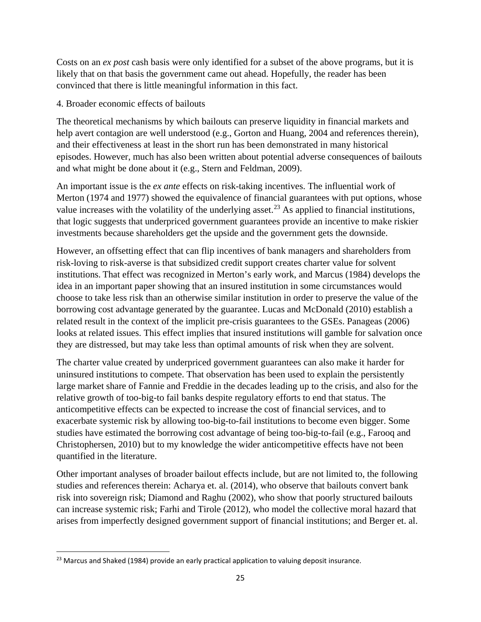Costs on an *ex post* cash basis were only identified for a subset of the above programs, but it is likely that on that basis the government came out ahead. Hopefully, the reader has been convinced that there is little meaningful information in this fact.

## 4. Broader economic effects of bailouts

The theoretical mechanisms by which bailouts can preserve liquidity in financial markets and help avert contagion are well understood (e.g., Gorton and Huang, 2004 and references therein), and their effectiveness at least in the short run has been demonstrated in many historical episodes. However, much has also been written about potential adverse consequences of bailouts and what might be done about it (e.g., Stern and Feldman, 2009).

An important issue is the *ex ante* effects on risk-taking incentives. The influential work of Merton (1974 and 1977) showed the equivalence of financial guarantees with put options, whose value increases with the volatility of the underlying asset.<sup>[23](#page-24-0)</sup> As applied to financial institutions, that logic suggests that underpriced government guarantees provide an incentive to make riskier investments because shareholders get the upside and the government gets the downside.

However, an offsetting effect that can flip incentives of bank managers and shareholders from risk-loving to risk-averse is that subsidized credit support creates charter value for solvent institutions. That effect was recognized in Merton's early work, and Marcus (1984) develops the idea in an important paper showing that an insured institution in some circumstances would choose to take less risk than an otherwise similar institution in order to preserve the value of the borrowing cost advantage generated by the guarantee. Lucas and McDonald (2010) establish a related result in the context of the implicit pre-crisis guarantees to the GSEs. Panageas (2006) looks at related issues. This effect implies that insured institutions will gamble for salvation once they are distressed, but may take less than optimal amounts of risk when they are solvent.

The charter value created by underpriced government guarantees can also make it harder for uninsured institutions to compete. That observation has been used to explain the persistently large market share of Fannie and Freddie in the decades leading up to the crisis, and also for the relative growth of too-big-to fail banks despite regulatory efforts to end that status. The anticompetitive effects can be expected to increase the cost of financial services, and to exacerbate systemic risk by allowing too-big-to-fail institutions to become even bigger. Some studies have estimated the borrowing cost advantage of being too-big-to-fail (e.g., Farooq and Christophersen, 2010) but to my knowledge the wider anticompetitive effects have not been quantified in the literature.

Other important analyses of broader bailout effects include, but are not limited to, the following studies and references therein: Acharya et. al. (2014), who observe that bailouts convert bank risk into sovereign risk; Diamond and Raghu (2002), who show that poorly structured bailouts can increase systemic risk; Farhi and Tirole (2012), who model the collective moral hazard that arises from imperfectly designed government support of financial institutions; and Berger et. al.

<span id="page-24-0"></span> $23$  Marcus and Shaked (1984) provide an early practical application to valuing deposit insurance.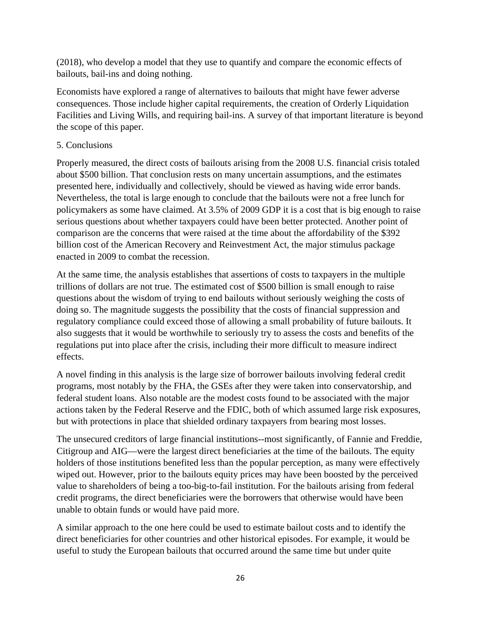(2018), who develop a model that they use to quantify and compare the economic effects of bailouts, bail-ins and doing nothing.

Economists have explored a range of alternatives to bailouts that might have fewer adverse consequences. Those include higher capital requirements, the creation of Orderly Liquidation Facilities and Living Wills, and requiring bail-ins. A survey of that important literature is beyond the scope of this paper.

# 5. Conclusions

Properly measured, the direct costs of bailouts arising from the 2008 U.S. financial crisis totaled about \$500 billion. That conclusion rests on many uncertain assumptions, and the estimates presented here, individually and collectively, should be viewed as having wide error bands. Nevertheless, the total is large enough to conclude that the bailouts were not a free lunch for policymakers as some have claimed. At 3.5% of 2009 GDP it is a cost that is big enough to raise serious questions about whether taxpayers could have been better protected. Another point of comparison are the concerns that were raised at the time about the affordability of the \$392 billion cost of the American Recovery and Reinvestment Act, the major stimulus package enacted in 2009 to combat the recession.

At the same time, the analysis establishes that assertions of costs to taxpayers in the multiple trillions of dollars are not true. The estimated cost of \$500 billion is small enough to raise questions about the wisdom of trying to end bailouts without seriously weighing the costs of doing so. The magnitude suggests the possibility that the costs of financial suppression and regulatory compliance could exceed those of allowing a small probability of future bailouts. It also suggests that it would be worthwhile to seriously try to assess the costs and benefits of the regulations put into place after the crisis, including their more difficult to measure indirect effects.

A novel finding in this analysis is the large size of borrower bailouts involving federal credit programs, most notably by the FHA, the GSEs after they were taken into conservatorship, and federal student loans. Also notable are the modest costs found to be associated with the major actions taken by the Federal Reserve and the FDIC, both of which assumed large risk exposures, but with protections in place that shielded ordinary taxpayers from bearing most losses.

The unsecured creditors of large financial institutions--most significantly, of Fannie and Freddie, Citigroup and AIG—were the largest direct beneficiaries at the time of the bailouts. The equity holders of those institutions benefited less than the popular perception, as many were effectively wiped out. However, prior to the bailouts equity prices may have been boosted by the perceived value to shareholders of being a too-big-to-fail institution. For the bailouts arising from federal credit programs, the direct beneficiaries were the borrowers that otherwise would have been unable to obtain funds or would have paid more.

A similar approach to the one here could be used to estimate bailout costs and to identify the direct beneficiaries for other countries and other historical episodes. For example, it would be useful to study the European bailouts that occurred around the same time but under quite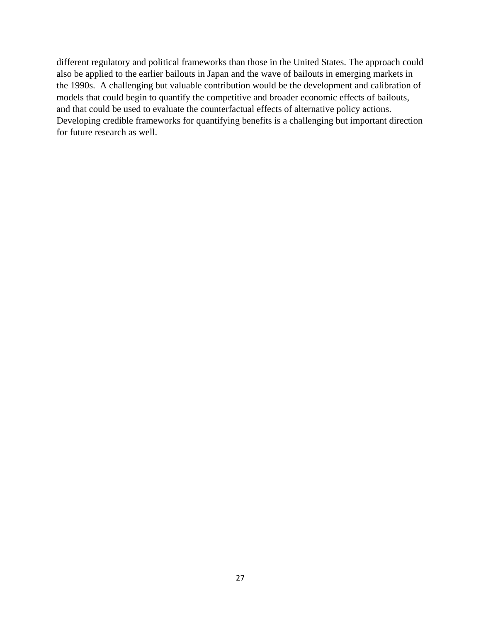different regulatory and political frameworks than those in the United States. The approach could also be applied to the earlier bailouts in Japan and the wave of bailouts in emerging markets in the 1990s. A challenging but valuable contribution would be the development and calibration of models that could begin to quantify the competitive and broader economic effects of bailouts, and that could be used to evaluate the counterfactual effects of alternative policy actions. Developing credible frameworks for quantifying benefits is a challenging but important direction for future research as well.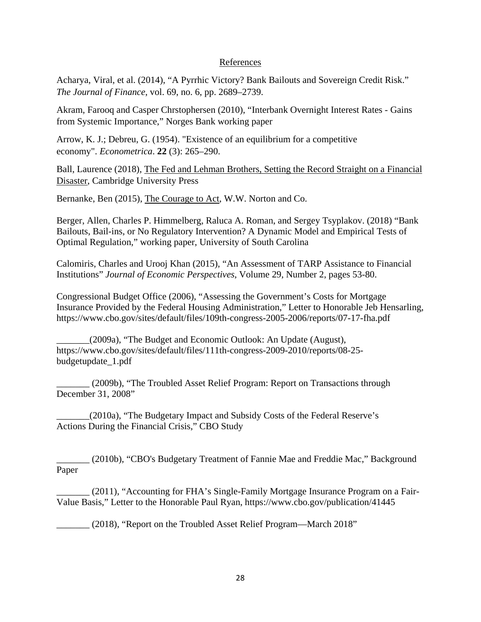#### References

Acharya, Viral, et al. (2014), "A Pyrrhic Victory? Bank Bailouts and Sovereign Credit Risk." *The Journal of Finance*, vol. 69, no. 6, pp. 2689–2739.

Akram, Farooq and Casper Chrstophersen (2010), "Interbank Overnight Interest Rates - Gains from Systemic Importance," Norges Bank working paper

Arrow, K. J.; Debreu, G. (1954). "Existence of an equilibrium for a competitive economy". *Econometrica*. **22** (3): 265–290.

Ball, Laurence (2018), The Fed and Lehman Brothers, Setting the Record Straight on a Financial Disaster, Cambridge University Press

Bernanke, Ben (2015), The Courage to Act, W.W. Norton and Co.

Berger, Allen, Charles P. Himmelberg, Raluca A. Roman, and Sergey Tsyplakov. (2018) "Bank Bailouts, Bail-ins, or No Regulatory Intervention? A Dynamic Model and Empirical Tests of Optimal Regulation," working paper, University of South Carolina

Calomiris, Charles and Urooj Khan (2015), "An Assessment of TARP Assistance to Financial Institutions" *Journal of Economic Perspectives*, Volume 29, Number 2, pages 53-80.

Congressional Budget Office (2006), "Assessing the Government's Costs for Mortgage Insurance Provided by the Federal Housing Administration," Letter to Honorable Jeb Hensarling, https://www.cbo.gov/sites/default/files/109th-congress-2005-2006/reports/07-17-fha.pdf

\_\_\_\_\_\_\_(2009a), "The Budget and Economic Outlook: An Update (August), https://www.cbo.gov/sites/default/files/111th-congress-2009-2010/reports/08-25 budgetupdate\_1.pdf

\_\_\_\_\_\_\_ (2009b), "The Troubled Asset Relief Program: Report on Transactions through December 31, 2008"

\_\_\_\_\_\_\_(2010a), "The Budgetary Impact and Subsidy Costs of the Federal Reserve's Actions During the Financial Crisis," CBO Study

\_\_\_\_\_\_\_ (2010b), "CBO's Budgetary Treatment of Fannie Mae and Freddie Mac," Background Paper

\_\_\_\_\_\_\_ (2011), "Accounting for FHA's Single-Family Mortgage Insurance Program on a Fair-Value Basis," Letter to the Honorable Paul Ryan, https://www.cbo.gov/publication/41445

\_\_\_\_\_\_\_ (2018), "Report on the Troubled Asset Relief Program—March 2018"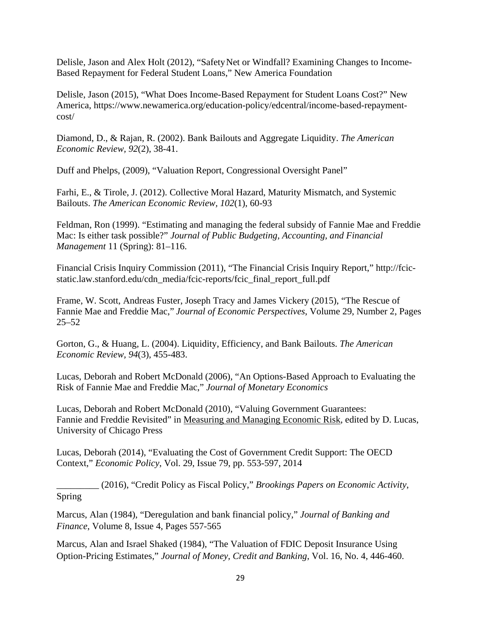Delisle, Jason and Alex Holt (2012), "SafetyNet or Windfall? Examining Changes to Income-Based Repayment for Federal Student Loans," New America Foundation

Delisle, Jason (2015), "What Does Income-Based Repayment for Student Loans Cost?" New America, https://www.newamerica.org/education-policy/edcentral/income-based-repaymentcost/

Diamond, D., & Rajan, R. (2002). Bank Bailouts and Aggregate Liquidity. *The American Economic Review, 92*(2), 38-41.

Duff and Phelps, (2009), "Valuation Report, Congressional Oversight Panel"

Farhi, E., & Tirole, J. (2012). Collective Moral Hazard, Maturity Mismatch, and Systemic Bailouts. *The American Economic Review, 102*(1), 60-93

Feldman, Ron (1999). "Estimating and managing the federal subsidy of Fannie Mae and Freddie Mac: Is either task possible?" *Journal of Public Budgeting, Accounting, and Financial Management* 11 (Spring): 81–116.

Financial Crisis Inquiry Commission (2011), "The Financial Crisis Inquiry Report," http://fcicstatic.law.stanford.edu/cdn\_media/fcic-reports/fcic\_final\_report\_full.pdf

Frame, W. Scott, Andreas Fuster, Joseph Tracy and James Vickery (2015), "The Rescue of Fannie Mae and Freddie Mac," *Journal of Economic Perspectives*, Volume 29, Number 2, Pages 25–52

Gorton, G., & Huang, L. (2004). Liquidity, Efficiency, and Bank Bailouts. *The American Economic Review, 94*(3), 455-483.

Lucas, Deborah and Robert McDonald (2006), "An Options-Based Approach to Evaluating the Risk of Fannie Mae and Freddie Mac," *Journal of Monetary Economics*

Lucas, Deborah and Robert McDonald (2010), "Valuing Government Guarantees: Fannie and Freddie Revisited" in Measuring and Managing Economic Risk, edited by D. Lucas, University of Chicago Press

Lucas, Deborah (2014), "Evaluating the Cost of Government Credit Support: The OECD Context," *Economic Policy*, Vol. 29, Issue 79, pp. 553-597, 2014

\_\_\_\_\_\_\_\_\_ (2016), "Credit Policy as Fiscal Policy," *Brookings Papers on Economic Activity*, Spring

Marcus, Alan (1984), "Deregulation and bank financial policy," *Journal of Banking and Finance*, Volume 8, Issue 4, Pages 557-565

Marcus, Alan and Israel Shaked (1984), "The Valuation of FDIC Deposit Insurance Using Option-Pricing Estimates," *Journal of Money, Credit and Banking*, Vol. 16, No. 4, 446-460.